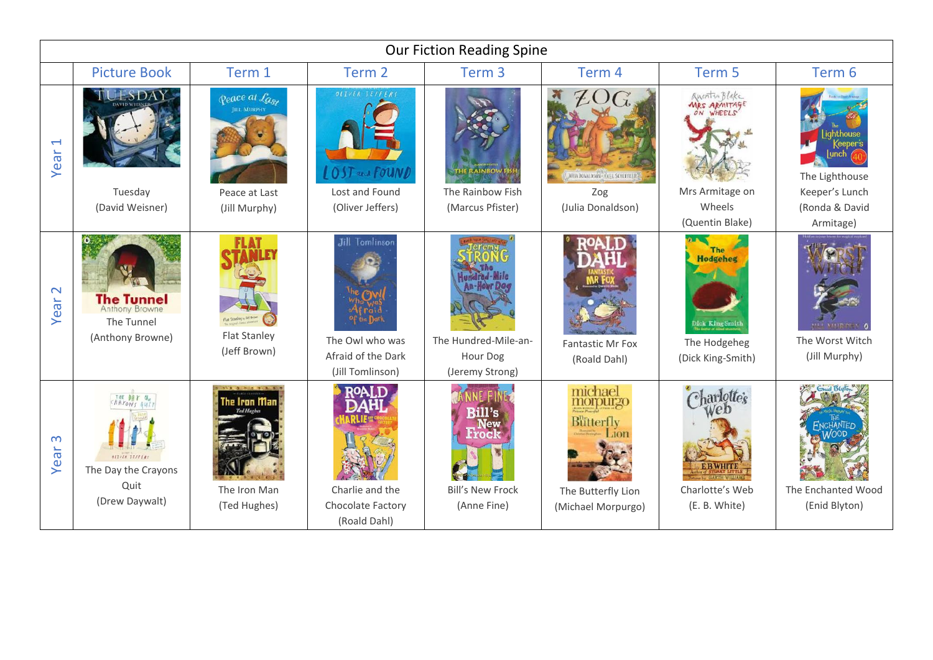| <b>Our Fiction Reading Spine</b> |                                                                                |                                             |                                                                                    |                                                                       |                                                                              |                                                                         |                                                          |  |  |  |  |
|----------------------------------|--------------------------------------------------------------------------------|---------------------------------------------|------------------------------------------------------------------------------------|-----------------------------------------------------------------------|------------------------------------------------------------------------------|-------------------------------------------------------------------------|----------------------------------------------------------|--|--|--|--|
|                                  | <b>Picture Book</b>                                                            | Term 1                                      | Term 2                                                                             | Term <sub>3</sub>                                                     | Term 4                                                                       | Term 5                                                                  | Term 6                                                   |  |  |  |  |
| $\overline{\phantom{0}}$<br>Year | -SDAY                                                                          | <b>Peace at Last</b><br><b>JILL MURPHY</b>  | OLIVER JEFFERS<br>OST and FOUND                                                    |                                                                       | $\mathcal{C}_k$<br>JUITA DONAL DSON - AXEL SCHEFFLER                         | Anentan Blake<br><b>MRS ARMITAGE</b>                                    | iahthouse<br>The Lighthouse                              |  |  |  |  |
|                                  | Tuesday                                                                        | Peace at Last                               | Lost and Found                                                                     | The Rainbow Fish                                                      | Zog                                                                          | Mrs Armitage on                                                         | Keeper's Lunch                                           |  |  |  |  |
|                                  | (David Weisner)                                                                | (Jill Murphy)                               | (Oliver Jeffers)                                                                   | (Marcus Pfister)                                                      | (Julia Donaldson)                                                            | Wheels<br>(Quentin Blake)                                               | (Ronda & David<br>Armitage)                              |  |  |  |  |
| $\mathbf{\Omega}$<br>Year        | <b>The Tunnel</b><br>Anthony Browne<br>The Tunnel<br>(Anthony Browne)          | <b>Flat Stanley</b><br>(Jeff Brown)         | <b>Jill Tomlinson</b><br>The Owl who was<br>Afraid of the Dark<br>(Jill Tomlinson) | The Hundred-Mile-an-<br>Hour Dog<br>(Jeremy Strong)                   | Fantastic Mr Fox<br>(Roald Dahl)                                             | <b>Hodgeheg</b><br>Dick King Smith<br>The Hodgeheg<br>(Dick King-Smith) | <b>BEE MULTIPLEY</b><br>The Worst Witch<br>(Jill Murphy) |  |  |  |  |
| $\infty$<br>Year                 | THE DAY the<br>OLIVER TEFFERS<br>The Day the Crayons<br>Quit<br>(Drew Daywalt) | ie Iran Man<br>The Iron Man<br>(Ted Hughes) | ΙΑΟς<br>Charlie and the<br>Chocolate Factory<br>(Roald Dahl)                       | <b>Rill's</b><br><b>New</b><br><b>Bill's New Frock</b><br>(Anne Fine) | michael<br>morourzo<br>Butterfly<br>The Butterfly Lion<br>(Michael Morpurgo) | Charlotte's<br>Charlotte's Web<br>(E. B. White)                         | The Enchanted Wood<br>(Enid Blyton)                      |  |  |  |  |